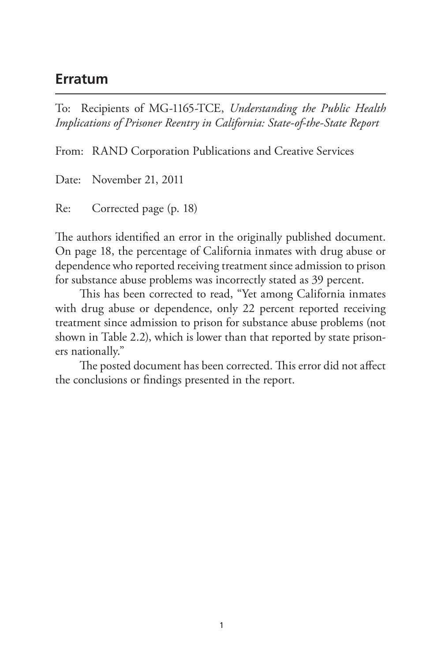## **Erratum**

To: Recipients of MG-1165-TCE, *Understanding the Public Health Implications of Prisoner Reentry in California: State-of-the-State Report*

From: RAND Corporation Publications and Creative Services

Date: November 21, 2011

Re: Corrected page (p. 18)

The authors identified an error in the originally published document. On page 18, the percentage of California inmates with drug abuse or dependence who reported receiving treatment since admission to prison for substance abuse problems was incorrectly stated as 39 percent.

This has been corrected to read, "Yet among California inmates with drug abuse or dependence, only 22 percent reported receiving treatment since admission to prison for substance abuse problems (not shown in Table 2.2), which is lower than that reported by state prisoners nationally."

The posted document has been corrected. This error did not affect the conclusions or findings presented in the report.